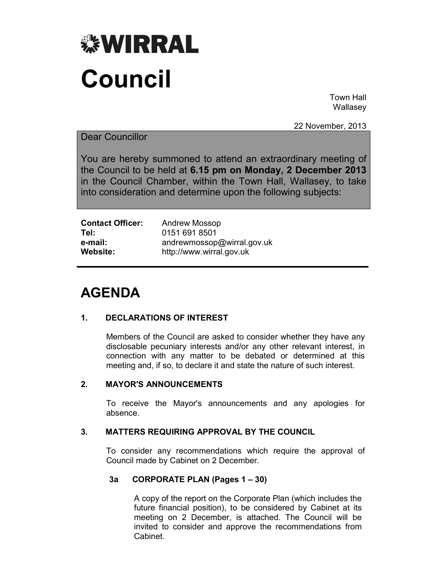

Town Hall Wallasey

22 November, 2013

## Dear Councillor

You are hereby summoned to attend an extraordinary meeting of the Council to be held at **6.15 pm on Monday, 2 December 2013** in the Council Chamber, within the Town Hall, Wallasey, to take into consideration and determine upon the following subjects:

| <b>Contact Officer:</b> | Andrew Mossop              |
|-------------------------|----------------------------|
| Tel:                    | 0151 691 8501              |
| e-mail:                 | andrewmossop@wirral.gov.uk |
| Website:                | http://www.wirral.gov.uk   |

# **AGENDA**

## **1. DECLARATIONS OF INTEREST**

 Members of the Council are asked to consider whether they have any disclosable pecuniary interests and/or any other relevant interest, in connection with any matter to be debated or determined at this meeting and, if so, to declare it and state the nature of such interest.

## **2. MAYOR'S ANNOUNCEMENTS**

 To receive the Mayor's announcements and any apologies for absence.

## **3. MATTERS REQUIRING APPROVAL BY THE COUNCIL**

 To consider any recommendations which require the approval of Council made by Cabinet on 2 December.

## **3a CORPORATE PLAN (Pages 1 – 30)**

A copy of the report on the Corporate Plan (which includes the future financial position), to be considered by Cabinet at its meeting on 2 December, is attached. The Council will be invited to consider and approve the recommendations from Cabinet.